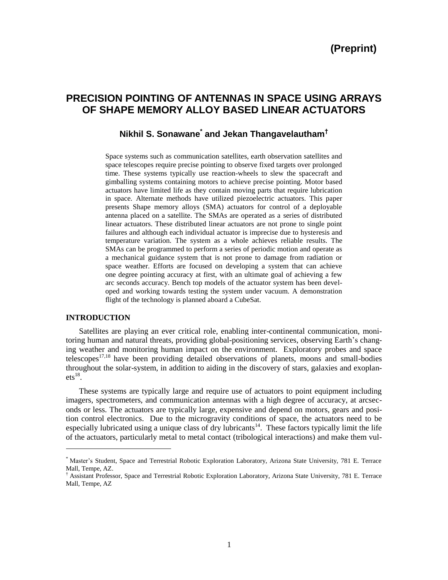# **PRECISION POINTING OF ANTENNAS IN SPACE USING ARRAYS OF SHAPE MEMORY ALLOY BASED LINEAR ACTUATORS**

## **Nikhil S. Sonawane\* and Jekan Thangavelautham†**

Space systems such as communication satellites, earth observation satellites and space telescopes require precise pointing to observe fixed targets over prolonged time. These systems typically use reaction-wheels to slew the spacecraft and gimballing systems containing motors to achieve precise pointing. Motor based actuators have limited life as they contain moving parts that require lubrication in space. Alternate methods have utilized piezoelectric actuators. This paper presents Shape memory alloys (SMA) actuators for control of a deployable antenna placed on a satellite. The SMAs are operated as a series of distributed linear actuators. These distributed linear actuators are not prone to single point failures and although each individual actuator is imprecise due to hysteresis and temperature variation. The system as a whole achieves reliable results. The SMAs can be programmed to perform a series of periodic motion and operate as a mechanical guidance system that is not prone to damage from radiation or space weather. Efforts are focused on developing a system that can achieve one degree pointing accuracy at first, with an ultimate goal of achieving a few arc seconds accuracy. Bench top models of the actuator system has been developed and working towards testing the system under vacuum. A demonstration flight of the technology is planned aboard a CubeSat.

#### **INTRODUCTION**

l

Satellites are playing an ever critical role, enabling inter-continental communication, monitoring human and natural threats, providing global-positioning services, observing Earth's changing weather and monitoring human impact on the environment. Exploratory probes and space telescopes<sup>17,18</sup> have been providing detailed observations of planets, moons and small-bodies throughout the solar-system, in addition to aiding in the discovery of stars, galaxies and exoplan $ets<sup>18</sup>$ .

These systems are typically large and require use of actuators to point equipment including imagers, spectrometers, and communication antennas with a high degree of accuracy, at arcseconds or less. The actuators are typically large, expensive and depend on motors, gears and position control electronics. Due to the microgravity conditions of space, the actuators need to be especially lubricated using a unique class of dry lubricants<sup>14</sup>. These factors typically limit the life of the actuators, particularly metal to metal contact (tribological interactions) and make them vul-

<sup>\*</sup> Master's Student, Space and Terrestrial Robotic Exploration Laboratory, Arizona State University, 781 E. Terrace Mall, Tempe, AZ.

<sup>†</sup> Assistant Professor, Space and Terrestrial Robotic Exploration Laboratory, Arizona State University, 781 E. Terrace Mall, Tempe, AZ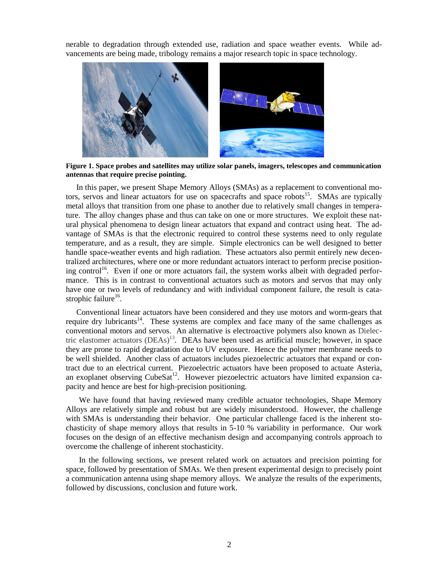nerable to degradation through extended use, radiation and space weather events. While advancements are being made, tribology remains a major research topic in space technology.



**Figure 1. Space probes and satellites may utilize solar panels, imagers, telescopes and communication antennas that require precise pointing.**

In this paper, we present Shape Memory Alloys (SMAs) as a replacement to conventional motors, servos and linear actuators for use on spacecrafts and space robots<sup>15</sup>. SMAs are typically metal alloys that transition from one phase to another due to relatively small changes in temperature. The alloy changes phase and thus can take on one or more structures. We exploit these natural physical phenomena to design linear actuators that expand and contract using heat. The advantage of SMAs is that the electronic required to control these systems need to only regulate temperature, and as a result, they are simple. Simple electronics can be well designed to better handle space-weather events and high radiation. These actuators also permit entirely new decentralized architectures, where one or more redundant actuators interact to perform precise positioning control<sup>16</sup>. Even if one or more actuators fail, the system works albeit with degraded performance. This is in contrast to conventional actuators such as motors and servos that may only have one or two levels of redundancy and with individual component failure, the result is catastrophic failure<sup>16</sup>.

Conventional linear actuators have been considered and they use motors and worm-gears that require dry lubricants<sup>14</sup>. These systems are complex and face many of the same challenges as conventional motors and servos. An alternative is electroactive polymers also known as Dielectric elastomer actuators  $(DEAs)^{13}$ . DEAs have been used as artificial muscle; however, in space they are prone to rapid degradation due to UV exposure. Hence the polymer membrane needs to be well shielded. Another class of actuators includes piezoelectric actuators that expand or contract due to an electrical current. Piezoelectric actuators have been proposed to actuate Asteria, an exoplanet observing  $CubeSat<sup>12</sup>$ . However piezoelectric actuators have limited expansion capacity and hence are best for high-precision positioning.

We have found that having reviewed many credible actuator technologies, Shape Memory Alloys are relatively simple and robust but are widely misunderstood. However, the challenge with SMAs is understanding their behavior. One particular challenge faced is the inherent stochasticity of shape memory alloys that results in 5-10 % variability in performance. Our work focuses on the design of an effective mechanism design and accompanying controls approach to overcome the challenge of inherent stochasticity.

In the following sections, we present related work on actuators and precision pointing for space, followed by presentation of SMAs. We then present experimental design to precisely point a communication antenna using shape memory alloys. We analyze the results of the experiments, followed by discussions, conclusion and future work.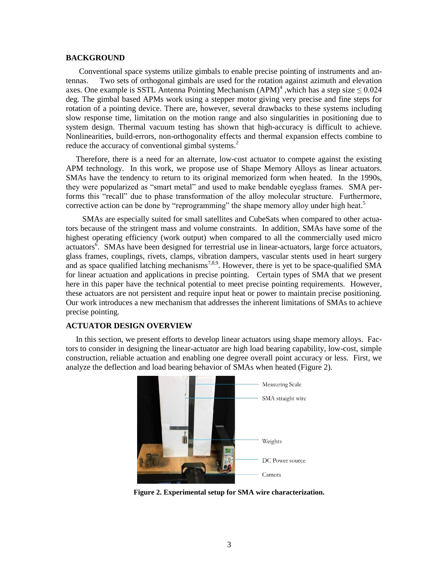#### **BACKGROUND**

Conventional space systems utilize gimbals to enable precise pointing of instruments and antennas. Two sets of orthogonal gimbals are used for the rotation against azimuth and elevation axes. One example is SSTL Antenna Pointing Mechanism  $(APM)^4$ , which has a step size  $\leq 0.024$ deg. The gimbal based APMs work using a stepper motor giving very precise and fine steps for rotation of a pointing device. There are, however, several drawbacks to these systems including slow response time, limitation on the motion range and also singularities in positioning due to system design. Thermal vacuum testing has shown that high-accuracy is difficult to achieve. Nonlinearities, build-errors, non-orthogonality effects and thermal expansion effects combine to reduce the accuracy of conventional gimbal systems.<sup>2</sup>

 Therefore, there is a need for an alternate, low-cost actuator to compete against the existing APM technology. In this work, we propose use of Shape Memory Alloys as linear actuators. SMAs have the tendency to return to its original memorized form when heated. In the 1990s, they were popularized as "smart metal" and used to make bendable eyeglass frames. SMA performs this "recall" due to phase transformation of the alloy molecular structure. Furthermore, corrective action can be done by "reprogramming" the shape memory alloy under high heat.<sup>5</sup>

SMAs are especially suited for small satellites and CubeSats when compared to other actuators because of the stringent mass and volume constraints. In addition, SMAs have some of the highest operating efficiency (work output) when compared to all the commercially used micro actuators<sup>6</sup>. SMAs have been designed for terrestrial use in linear-actuators, large force actuators, glass frames, couplings, rivets, clamps, vibration dampers, vascular stents used in heart surgery and as space qualified latching mechanisms<sup>7,8,9</sup>. However, there is yet to be space-qualified SMA for linear actuation and applications in precise pointing. Certain types of SMA that we present here in this paper have the technical potential to meet precise pointing requirements. However, these actuators are not persistent and require input heat or power to maintain precise positioning. Our work introduces a new mechanism that addresses the inherent limitations of SMAs to achieve precise pointing.

## **ACTUATOR DESIGN OVERVIEW**

 In this section, we present efforts to develop linear actuators using shape memory alloys. Factors to consider in designing the linear-actuator are high load bearing capability, low-cost, simple construction, reliable actuation and enabling one degree overall point accuracy or less. First, we analyze the deflection and load bearing behavior of SMAs when heated (Figure 2).



**Figure 2. Experimental setup for SMA wire characterization.**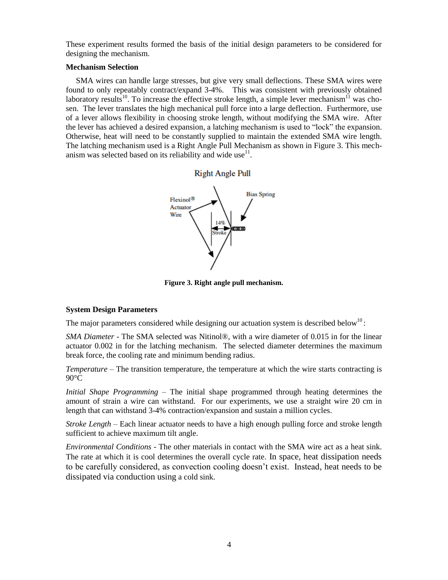These experiment results formed the basis of the initial design parameters to be considered for designing the mechanism.

## **Mechanism Selection**

SMA wires can handle large stresses, but give very small deflections. These SMA wires were found to only repeatably contract/expand 3-4%. This was consistent with previously obtained laboratory results<sup>10</sup>. To increase the effective stroke length, a simple lever mechanism<sup>11</sup> was chosen. The lever translates the high mechanical pull force into a large deflection. Furthermore, use of a lever allows flexibility in choosing stroke length, without modifying the SMA wire. After the lever has achieved a desired expansion, a latching mechanism is used to "lock" the expansion. Otherwise, heat will need to be constantly supplied to maintain the extended SMA wire length. The latching mechanism used is a Right Angle Pull Mechanism as shown in Figure 3. This mechanism was selected based on its reliability and wide use $^{11}$ .



**Figure 3. Right angle pull mechanism.**

## **System Design Parameters**

The major parameters considered while designing our actuation system is described below<sup>10</sup>:

*SMA Diameter* - The SMA selected was Nitinol®, with a wire diameter of 0.015 in for the linear actuator 0.002 in for the latching mechanism. The selected diameter determines the maximum break force, the cooling rate and minimum bending radius.

*Temperature* – The transition temperature, the temperature at which the wire starts contracting is  $90^{\circ}$ C

*Initial Shape Programming* – The initial shape programmed through heating determines the amount of strain a wire can withstand. For our experiments, we use a straight wire 20 cm in length that can withstand 3-4% contraction/expansion and sustain a million cycles.

*Stroke Length* – Each linear actuator needs to have a high enough pulling force and stroke length sufficient to achieve maximum tilt angle.

*Environmental Conditions* - The other materials in contact with the SMA wire act as a heat sink. The rate at which it is cool determines the overall cycle rate. In space, heat dissipation needs to be carefully considered, as convection cooling doesn't exist. Instead, heat needs to be dissipated via conduction using a cold sink.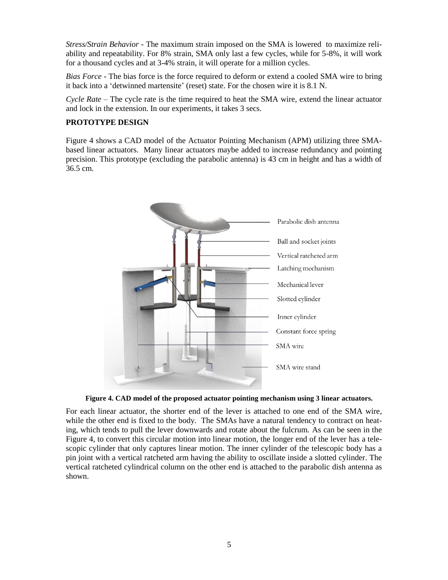*Stress/Strain Behavior* - The maximum strain imposed on the SMA is lowered to maximize reliability and repeatability. For 8% strain, SMA only last a few cycles, while for 5-8%, it will work for a thousand cycles and at 3-4% strain, it will operate for a million cycles.

*Bias Force* - The bias force is the force required to deform or extend a cooled SMA wire to bring it back into a 'detwinned martensite' (reset) state. For the chosen wire it is 8.1 N.

*Cycle Rate* – The cycle rate is the time required to heat the SMA wire, extend the linear actuator and lock in the extension. In our experiments, it takes 3 secs.

## **PROTOTYPE DESIGN**

Figure 4 shows a CAD model of the Actuator Pointing Mechanism (APM) utilizing three SMAbased linear actuators. Many linear actuators maybe added to increase redundancy and pointing precision. This prototype (excluding the parabolic antenna) is 43 cm in height and has a width of 36.5 cm.



**Figure 4. CAD model of the proposed actuator pointing mechanism using 3 linear actuators.**

For each linear actuator, the shorter end of the lever is attached to one end of the SMA wire, while the other end is fixed to the body. The SMAs have a natural tendency to contract on heating, which tends to pull the lever downwards and rotate about the fulcrum. As can be seen in the Figure 4, to convert this circular motion into linear motion, the longer end of the lever has a telescopic cylinder that only captures linear motion. The inner cylinder of the telescopic body has a pin joint with a vertical ratcheted arm having the ability to oscillate inside a slotted cylinder. The vertical ratcheted cylindrical column on the other end is attached to the parabolic dish antenna as shown.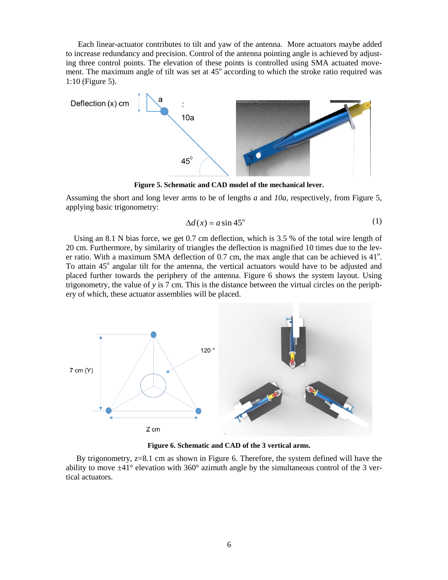Each linear-actuator contributes to tilt and yaw of the antenna. More actuators maybe added to increase redundancy and precision. Control of the antenna pointing angle is achieved by adjusting three control points. The elevation of these points is controlled using SMA actuated movement. The maximum angle of tilt was set at  $45^\circ$  according to which the stroke ratio required was 1:10 (Figure 5).



**Figure 5. Schematic and CAD model of the mechanical lever.**

Assuming the short and long lever arms to be of lengths *a* and *10a,* respectively, from Figure 5, applying basic trigonometry:

$$
\Delta d(x) = a \sin 45^\circ \tag{1}
$$

 Using an 8.1 N bias force, we get 0.7 cm deflection, which is 3.5 % of the total wire length of 20 cm. Furthermore, by similarity of triangles the deflection is magnified 10 times due to the lever ratio. With a maximum SMA deflection of  $0.7$  cm, the max angle that can be achieved is  $41^\circ$ . To attain 45° angular tilt for the antenna, the vertical actuators would have to be adjusted and placed further towards the periphery of the antenna. Figure 6 shows the system layout. Using trigonometry, the value of *y* is 7 cm. This is the distance between the virtual circles on the periphery of which, these actuator assemblies will be placed.



**Figure 6. Schematic and CAD of the 3 vertical arms.**

By trigonometry, z=8.1 cm as shown in Figure 6. Therefore, the system defined will have the ability to move  $\pm 41^{\circ}$  elevation with 360° azimuth angle by the simultaneous control of the 3 vertical actuators.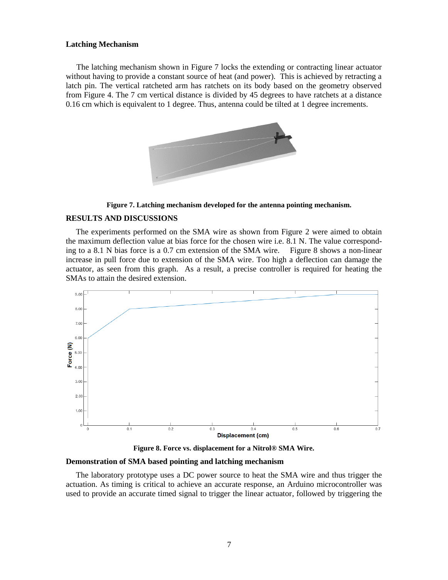#### **Latching Mechanism**

The latching mechanism shown in Figure 7 locks the extending or contracting linear actuator without having to provide a constant source of heat (and power). This is achieved by retracting a latch pin. The vertical ratcheted arm has ratchets on its body based on the geometry observed from Figure 4. The 7 cm vertical distance is divided by 45 degrees to have ratchets at a distance 0.16 cm which is equivalent to 1 degree. Thus, antenna could be tilted at 1 degree increments.



**Figure 7. Latching mechanism developed for the antenna pointing mechanism.**

#### **RESULTS AND DISCUSSIONS**

The experiments performed on the SMA wire as shown from Figure 2 were aimed to obtain the maximum deflection value at bias force for the chosen wire i.e. 8.1 N. The value corresponding to a 8.1 N bias force is a 0.7 cm extension of the SMA wire. Figure 8 shows a non-linear increase in pull force due to extension of the SMA wire. Too high a deflection can damage the actuator, as seen from this graph. As a result, a precise controller is required for heating the SMAs to attain the desired extension.



**Figure 8. Force vs. displacement for a Nitrol® SMA Wire.**

#### **Demonstration of SMA based pointing and latching mechanism**

The laboratory prototype uses a DC power source to heat the SMA wire and thus trigger the actuation. As timing is critical to achieve an accurate response, an Arduino microcontroller was used to provide an accurate timed signal to trigger the linear actuator, followed by triggering the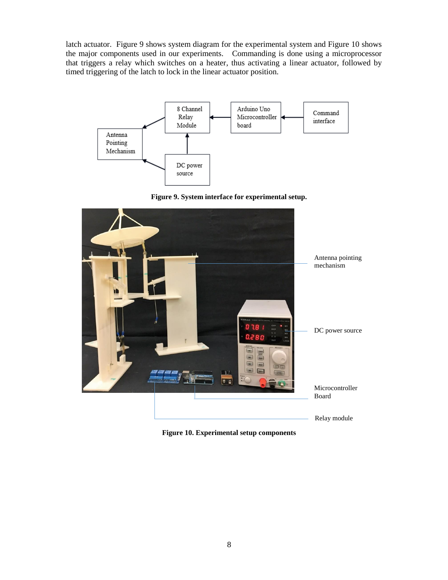latch actuator. Figure 9 shows system diagram for the experimental system and Figure 10 shows the major components used in our experiments. Commanding is done using a microprocessor that triggers a relay which switches on a heater, thus activating a linear actuator, followed by timed triggering of the latch to lock in the linear actuator position.



Figure 9. System interface for experimental setup.



**Figure 10. Experimental setup components**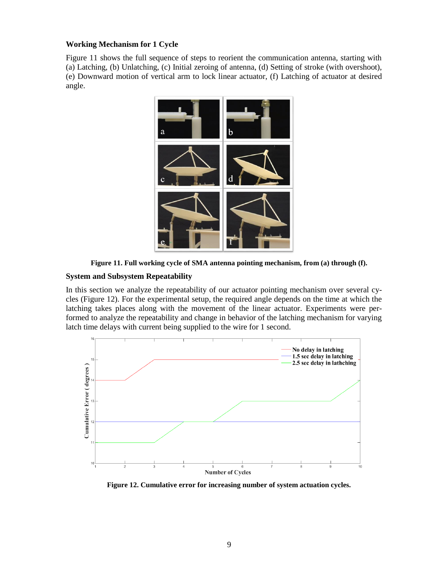## **Working Mechanism for 1 Cycle**

Figure 11 shows the full sequence of steps to reorient the communication antenna, starting with (a) Latching, (b) Unlatching, (c) Initial zeroing of antenna, (d) Setting of stroke (with overshoot), (e) Downward motion of vertical arm to lock linear actuator, (f) Latching of actuator at desired angle.



**Figure 11. Full working cycle of SMA antenna pointing mechanism, from (a) through (f).**

## **System and Subsystem Repeatability**

In this section we analyze the repeatability of our actuator pointing mechanism over several cycles (Figure 12). For the experimental setup, the required angle depends on the time at which the latching takes places along with the movement of the linear actuator. Experiments were performed to analyze the repeatability and change in behavior of the latching mechanism for varying latch time delays with current being supplied to the wire for 1 second.



**Figure 12. Cumulative error for increasing number of system actuation cycles.**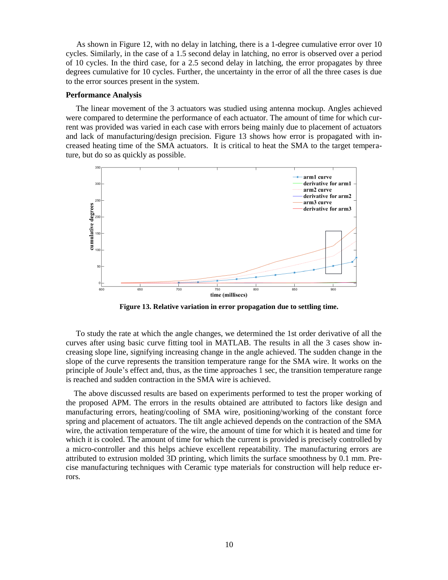As shown in Figure 12, with no delay in latching, there is a 1-degree cumulative error over 10 cycles. Similarly, in the case of a 1.5 second delay in latching, no error is observed over a period of 10 cycles. In the third case, for a 2.5 second delay in latching, the error propagates by three degrees cumulative for 10 cycles. Further, the uncertainty in the error of all the three cases is due to the error sources present in the system.

#### **Performance Analysis**

 The linear movement of the 3 actuators was studied using antenna mockup. Angles achieved were compared to determine the performance of each actuator. The amount of time for which current was provided was varied in each case with errors being mainly due to placement of actuators and lack of manufacturing/design precision. Figure 13 shows how error is propagated with increased heating time of the SMA actuators. It is critical to heat the SMA to the target temperature, but do so as quickly as possible.



**Figure 13. Relative variation in error propagation due to settling time.**

 To study the rate at which the angle changes, we determined the 1st order derivative of all the curves after using basic curve fitting tool in MATLAB. The results in all the 3 cases show increasing slope line, signifying increasing change in the angle achieved. The sudden change in the slope of the curve represents the transition temperature range for the SMA wire. It works on the principle of Joule's effect and, thus, as the time approaches 1 sec, the transition temperature range is reached and sudden contraction in the SMA wire is achieved.

 The above discussed results are based on experiments performed to test the proper working of the proposed APM. The errors in the results obtained are attributed to factors like design and manufacturing errors, heating/cooling of SMA wire, positioning/working of the constant force spring and placement of actuators. The tilt angle achieved depends on the contraction of the SMA wire, the activation temperature of the wire, the amount of time for which it is heated and time for which it is cooled. The amount of time for which the current is provided is precisely controlled by a micro-controller and this helps achieve excellent repeatability. The manufacturing errors are attributed to extrusion molded 3D printing, which limits the surface smoothness by 0.1 mm. Precise manufacturing techniques with Ceramic type materials for construction will help reduce errors.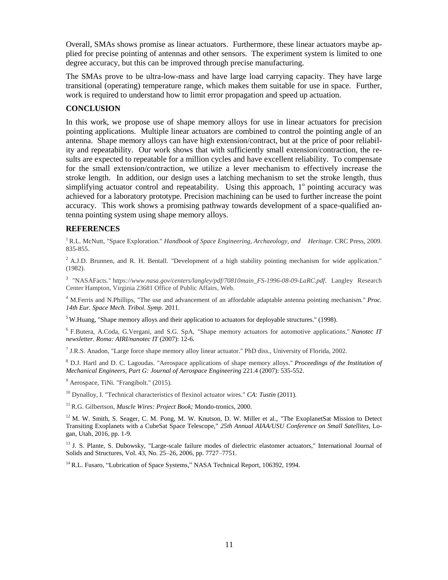Overall, SMAs shows promise as linear actuators. Furthermore, these linear actuators maybe applied for precise pointing of antennas and other sensors. The experiment system is limited to one degree accuracy, but this can be improved through precise manufacturing.

The SMAs prove to be ultra-low-mass and have large load carrying capacity. They have large transitional (operating) temperature range, which makes them suitable for use in space. Further, work is required to understand how to limit error propagation and speed up actuation.

## **CONCLUSION**

In this work, we propose use of shape memory alloys for use in linear actuators for precision pointing applications. Multiple linear actuators are combined to control the pointing angle of an antenna. Shape memory alloys can have high extension/contract, but at the price of poor reliability and repeatability. Our work shows that with sufficiently small extension/contraction, the results are expected to repeatable for a million cycles and have excellent reliability. To compensate for the small extension/contraction, we utilize a lever mechanism to effectively increase the stroke length. In addition, our design uses a latching mechanism to set the stroke length, thus simplifying actuator control and repeatability. Using this approach,  $1^\circ$  pointing accuracy was achieved for a laboratory prototype. Precision machining can be used to further increase the point accuracy. This work shows a promising pathway towards development of a space-qualified antenna pointing system using shape memory alloys.

## **REFERENCES**

<sup>1</sup> R.L. McNutt, "Space Exploration." *Handbook of Space Engineering, Archaeology, and Heritage*. CRC Press, 2009. 835-855.

 $^2$  A.J.D. Brunnen, and R. H. Bentall. "Development of a high stability pointing mechanism for wide application." (1982).

3 "NASAFacts." h*ttps://www.nasa.gov/centers/langley/pdf/70810main\_FS-1996-08-09-LaRC.pdf*. Langley Research Center Hampton, Virginia 23681 Office of Public Affairs, Web.

<sup>4</sup> M.Ferris and N.Phillips, "The use and advancement of an affordable adaptable antenna pointing mechanism." *Proc. 14th Eur. Space Mech. Tribol. Symp*. 2011.

<sup>5</sup>W.Huang, "Shape memory alloys and their application to actuators for deployable structures." (1998).

<sup>6</sup>F.Butera, A.Coda, G.Vergani, and S.G. SpA, "Shape memory actuators for automotive applications." *Nanotec IT newsletter. Roma: AIRI/nanotec IT* (2007): 12-6.

7 J.R.S. Anadon, "Large force shape memory alloy linear actuator." PhD diss., University of Florida, 2002.

<sup>8</sup> D.J. Hartl and D. C. Lagoudas. "Aerospace applications of shape memory alloys." *Proceedings of the Institution of Mechanical Engineers, Part G: Journal of Aerospace Engineering* 221.4 (2007): 535-552.

<sup>9</sup> Aerospace, TiNi. "Frangibolt." (2015).

<sup>10</sup> Dynalloy, I. "Technical characteristics of flexinol actuator wires." *CA: Tustin* (2011).

<sup>11</sup>R.G. Gilbertson, *Muscle Wires: Project Book;* Mondo-tronics, 2000.

 $12$  M. W. Smith, S. Seager, C. M. Pong, M. W. Knutson, D. W. Miller et al., "The ExoplanetSat Mission to Detect Transiting Exoplanets with a CubeSat Space Telescope," *25th Annual AIAA/USU Conference on Small Satellites*, Logan, Utah, 2016, pp. 1-9.

<sup>13</sup> J. S. Plante, S. Dubowsky, "Large-scale failure modes of dielectric elastomer actuators," International Journal of Solids and Structures, Vol. 43, No. 25–26, 2006, pp. 7727–7751.

<sup>14</sup> R.L. Fusaro, "Lubrication of Space Systems," NASA Technical Report, 106392, 1994.